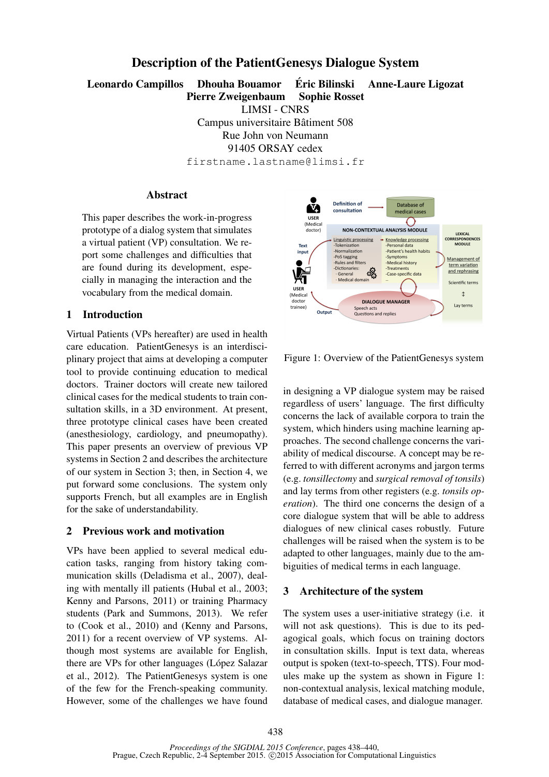# Description of the PatientGenesys Dialogue System

Leonardo Campillos Dhouha Bouamor Éric Bilinski Anne-Laure Ligozat Pierre Zweigenbaum Sophie Rosset

LIMSI - CNRS

Campus universitaire Bâtiment 508 Rue John von Neumann 91405 ORSAY cedex firstname.lastname@limsi.fr

### **Abstract**

This paper describes the work-in-progress prototype of a dialog system that simulates a virtual patient (VP) consultation. We report some challenges and difficulties that are found during its development, especially in managing the interaction and the vocabulary from the medical domain.

# 1 Introduction

Virtual Patients (VPs hereafter) are used in health care education. PatientGenesys is an interdisciplinary project that aims at developing a computer tool to provide continuing education to medical doctors. Trainer doctors will create new tailored clinical cases for the medical students to train consultation skills, in a 3D environment. At present, three prototype clinical cases have been created (anesthesiology, cardiology, and pneumopathy). This paper presents an overview of previous VP systems in Section 2 and describes the architecture of our system in Section 3; then, in Section 4, we put forward some conclusions. The system only supports French, but all examples are in English for the sake of understandability.

# 2 Previous work and motivation

VPs have been applied to several medical education tasks, ranging from history taking communication skills (Deladisma et al., 2007), dealing with mentally ill patients (Hubal et al., 2003; Kenny and Parsons, 2011) or training Pharmacy students (Park and Summons, 2013). We refer to (Cook et al., 2010) and (Kenny and Parsons, 2011) for a recent overview of VP systems. Although most systems are available for English, there are VPs for other languages (López Salazar et al., 2012). The PatientGenesys system is one of the few for the French-speaking community. However, some of the challenges we have found



Figure 1: Overview of the PatientGenesys system

in designing a VP dialogue system may be raised regardless of users' language. The first difficulty concerns the lack of available corpora to train the system, which hinders using machine learning approaches. The second challenge concerns the variability of medical discourse. A concept may be referred to with different acronyms and jargon terms (e.g. *tonsillectomy* and *surgical removal of tonsils*) and lay terms from other registers (e.g. *tonsils operation*). The third one concerns the design of a core dialogue system that will be able to address dialogues of new clinical cases robustly. Future challenges will be raised when the system is to be adapted to other languages, mainly due to the ambiguities of medical terms in each language.

### 3 Architecture of the system

The system uses a user-initiative strategy (i.e. it will not ask questions). This is due to its pedagogical goals, which focus on training doctors in consultation skills. Input is text data, whereas output is spoken (text-to-speech, TTS). Four modules make up the system as shown in Figure 1: non-contextual analysis, lexical matching module, database of medical cases, and dialogue manager.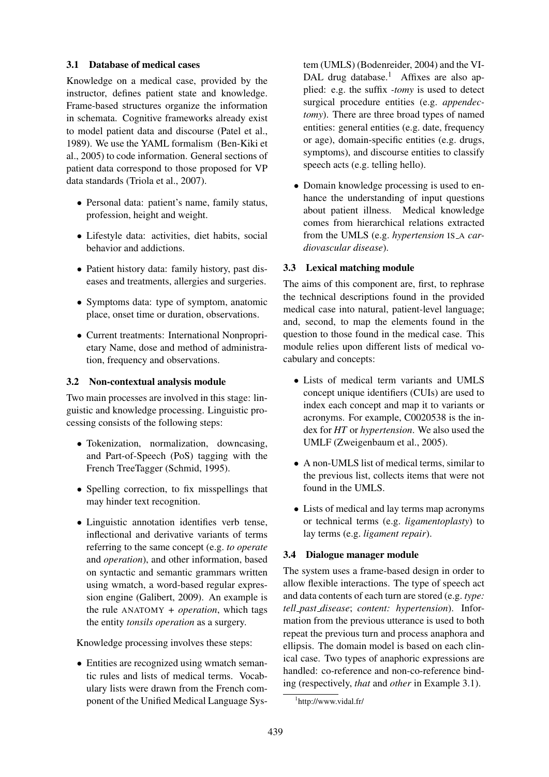### 3.1 Database of medical cases

Knowledge on a medical case, provided by the instructor, defines patient state and knowledge. Frame-based structures organize the information in schemata. Cognitive frameworks already exist to model patient data and discourse (Patel et al., 1989). We use the YAML formalism (Ben-Kiki et al., 2005) to code information. General sections of patient data correspond to those proposed for VP data standards (Triola et al., 2007).

- Personal data: patient's name, family status, profession, height and weight.
- Lifestyle data: activities, diet habits, social behavior and addictions.
- Patient history data: family history, past diseases and treatments, allergies and surgeries.
- Symptoms data: type of symptom, anatomic place, onset time or duration, observations.
- Current treatments: International Nonproprietary Name, dose and method of administration, frequency and observations.

### 3.2 Non-contextual analysis module

Two main processes are involved in this stage: linguistic and knowledge processing. Linguistic processing consists of the following steps:

- Tokenization, normalization, downcasing, and Part-of-Speech (PoS) tagging with the French TreeTagger (Schmid, 1995).
- Spelling correction, to fix misspellings that may hinder text recognition.
- Linguistic annotation identifies verb tense, inflectional and derivative variants of terms referring to the same concept (e.g. *to operate* and *operation*), and other information, based on syntactic and semantic grammars written using wmatch, a word-based regular expression engine (Galibert, 2009). An example is the rule ANATOMY *+ operation*, which tags the entity *tonsils operation* as a surgery.

Knowledge processing involves these steps:

• Entities are recognized using wmatch semantic rules and lists of medical terms. Vocabulary lists were drawn from the French component of the Unified Medical Language System (UMLS) (Bodenreider, 2004) and the VI-DAL drug database.<sup>1</sup> Affixes are also applied: e.g. the suffix *-tomy* is used to detect surgical procedure entities (e.g. *appendectomy*). There are three broad types of named entities: general entities (e.g. date, frequency or age), domain-specific entities (e.g. drugs, symptoms), and discourse entities to classify speech acts (e.g. telling hello).

• Domain knowledge processing is used to enhance the understanding of input questions about patient illness. Medical knowledge comes from hierarchical relations extracted from the UMLS (e.g. *hypertension* IS\_A *cardiovascular disease*).

# 3.3 Lexical matching module

The aims of this component are, first, to rephrase the technical descriptions found in the provided medical case into natural, patient-level language; and, second, to map the elements found in the question to those found in the medical case. This module relies upon different lists of medical vocabulary and concepts:

- Lists of medical term variants and UMLS concept unique identifiers (CUIs) are used to index each concept and map it to variants or acronyms. For example, C0020538 is the index for *HT* or *hypertension*. We also used the UMLF (Zweigenbaum et al., 2005).
- A non-UMLS list of medical terms, similar to the previous list, collects items that were not found in the UMLS.
- Lists of medical and lay terms map acronyms or technical terms (e.g. *ligamentoplasty*) to lay terms (e.g. *ligament repair*).

### 3.4 Dialogue manager module

The system uses a frame-based design in order to allow flexible interactions. The type of speech act and data contents of each turn are stored (e.g. *type: tell past disease*; *content: hypertension*). Information from the previous utterance is used to both repeat the previous turn and process anaphora and ellipsis. The domain model is based on each clinical case. Two types of anaphoric expressions are handled: co-reference and non-co-reference binding (respectively, *that* and *other* in Example 3.1).

<sup>1</sup> http://www.vidal.fr/